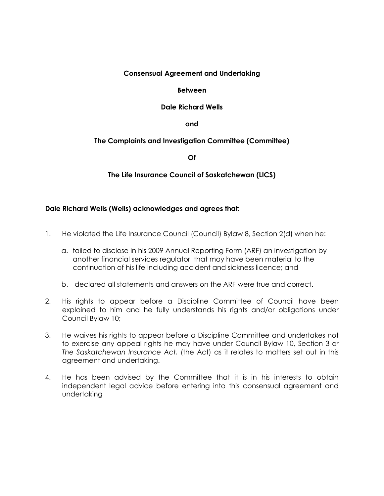### **Consensual Agreement and Undertaking**

### **Between**

## **Dale Richard Wells**

**and**

# **The Complaints and Investigation Committee (Committee)**

**Of**

**The Life Insurance Council of Saskatchewan (LICS)**

## **Dale Richard Wells (Wells) acknowledges and agrees that:**

- 1. He violated the Life Insurance Council (Council) Bylaw 8, Section 2(d) when he:
	- a. failed to disclose in his 2009 Annual Reporting Form (ARF) an investigation by another financial services regulator that may have been material to the continuation of his life including accident and sickness licence; and
	- b. declared all statements and answers on the ARF were true and correct.
- 2. His rights to appear before a Discipline Committee of Council have been explained to him and he fully understands his rights and/or obligations under Council Bylaw 10;
- 3. He waives his rights to appear before a Discipline Committee and undertakes not to exercise any appeal rights he may have under Council Bylaw 10, Section 3 or *The Saskatchewan Insurance Act,* (the Act) as it relates to matters set out in this agreement and undertaking.
- 4. He has been advised by the Committee that it is in his interests to obtain independent legal advice before entering into this consensual agreement and undertaking